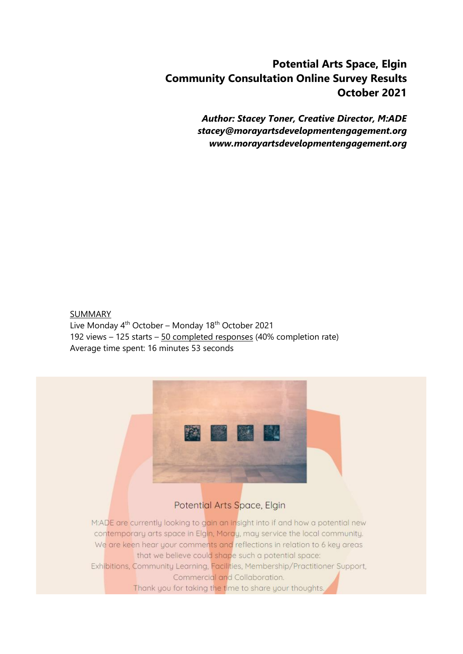# **Potential Arts Space, Elgin Community Consultation Online Survey Results October 2021**

*Author: Stacey Toner, Creative Director, M:ADE [stacey@morayartsdevelopmentengagement.org](mailto:stacey@morayartsdevelopmentengagement.org) www.morayartsdevelopmentengagement.org*

SUMMARY Live Monday  $4<sup>th</sup>$  October – Monday 18<sup>th</sup> October 2021 192 views – 125 starts – 50 completed responses (40% completion rate) Average time spent: 16 minutes 53 seconds

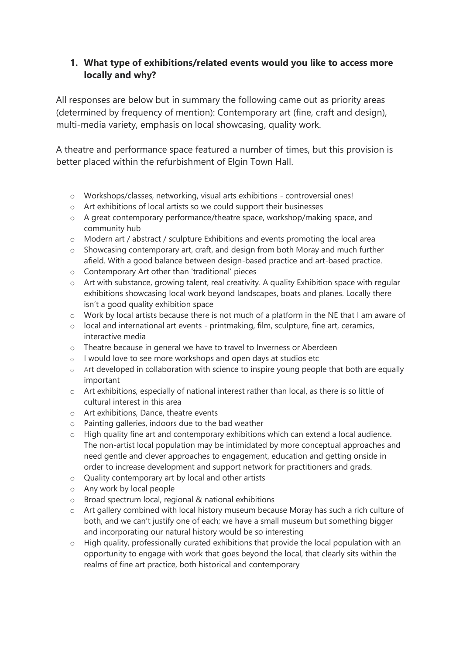## **1. What type of exhibitions/related events would you like to access more locally and why?**

All responses are below but in summary the following came out as priority areas (determined by frequency of mention): Contemporary art (fine, craft and design), multi-media variety, emphasis on local showcasing, quality work.

A theatre and performance space featured a number of times, but this provision is better placed within the refurbishment of Elgin Town Hall.

- o Workshops/classes, networking, visual arts exhibitions controversial ones!
- o Art exhibitions of local artists so we could support their businesses
- o A great contemporary performance/theatre space, workshop/making space, and community hub
- o Modern art / abstract / sculpture Exhibitions and events promoting the local area
- o Showcasing contemporary art, craft, and design from both Moray and much further afield. With a good balance between design-based practice and art-based practice.
- o Contemporary Art other than 'traditional' pieces
- o Art with substance, growing talent, real creativity. A quality Exhibition space with regular exhibitions showcasing local work beyond landscapes, boats and planes. Locally there isn't a good quality exhibition space
- o Work by local artists because there is not much of a platform in the NE that I am aware of
- $\circ$  local and international art events printmaking, film, sculpture, fine art, ceramics, interactive media
- o Theatre because in general we have to travel to Inverness or Aberdeen
- o I would love to see more workshops and open days at studios etc
- o Art developed in collaboration with science to inspire young people that both are equally important
- $\circ$  Art exhibitions, especially of national interest rather than local, as there is so little of cultural interest in this area
- o Art exhibitions, Dance, theatre events
- o Painting galleries, indoors due to the bad weather
- o High quality fine art and contemporary exhibitions which can extend a local audience. The non-artist local population may be intimidated by more conceptual approaches and need gentle and clever approaches to engagement, education and getting onside in order to increase development and support network for practitioners and grads.
- o Quality contemporary art by local and other artists
- o Any work by local people
- o Broad spectrum local, regional & national exhibitions
- o Art gallery combined with local history museum because Moray has such a rich culture of both, and we can't justify one of each; we have a small museum but something bigger and incorporating our natural history would be so interesting
- o High quality, professionally curated exhibitions that provide the local population with an opportunity to engage with work that goes beyond the local, that clearly sits within the realms of fine art practice, both historical and contemporary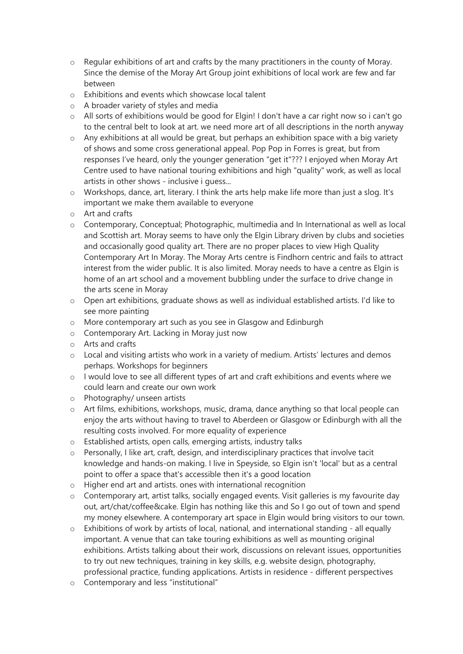- $\circ$  Regular exhibitions of art and crafts by the many practitioners in the county of Moray. Since the demise of the Moray Art Group joint exhibitions of local work are few and far between
- o Exhibitions and events which showcase local talent
- o A broader variety of styles and media
- $\circ$  All sorts of exhibitions would be good for Elgin! I don't have a car right now so i can't go to the central belt to look at art. we need more art of all descriptions in the north anyway
- o Any exhibitions at all would be great, but perhaps an exhibition space with a big variety of shows and some cross generational appeal. Pop Pop in Forres is great, but from responses I've heard, only the younger generation "get it"??? I enjoyed when Moray Art Centre used to have national touring exhibitions and high "quality" work, as well as local artists in other shows - inclusive i guess...
- o Workshops, dance, art, literary. I think the arts help make life more than just a slog. It's important we make them available to everyone
- o Art and crafts
- o Contemporary, Conceptual; Photographic, multimedia and In International as well as local and Scottish art. Moray seems to have only the Elgin Library driven by clubs and societies and occasionally good quality art. There are no proper places to view High Quality Contemporary Art In Moray. The Moray Arts centre is Findhorn centric and fails to attract interest from the wider public. It is also limited. Moray needs to have a centre as Elgin is home of an art school and a movement bubbling under the surface to drive change in the arts scene in Moray
- $\circ$  Open art exhibitions, graduate shows as well as individual established artists. I'd like to see more painting
- o More contemporary art such as you see in Glasgow and Edinburgh
- o Contemporary Art. Lacking in Moray just now
- o Arts and crafts
- $\circ$  Local and visiting artists who work in a variety of medium. Artists' lectures and demos perhaps. Workshops for beginners
- o I would love to see all different types of art and craft exhibitions and events where we could learn and create our own work
- o Photography/ unseen artists
- o Art films, exhibitions, workshops, music, drama, dance anything so that local people can enjoy the arts without having to travel to Aberdeen or Glasgow or Edinburgh with all the resulting costs involved. For more equality of experience
- o Established artists, open calls, emerging artists, industry talks
- o Personally, I like art, craft, design, and interdisciplinary practices that involve tacit knowledge and hands-on making. I live in Speyside, so Elgin isn't 'local' but as a central point to offer a space that's accessible then it's a good location
- o Higher end art and artists. ones with international recognition
- $\circ$  Contemporary art, artist talks, socially engaged events. Visit galleries is my favourite day out, art/chat/coffee&cake. Elgin has nothing like this and So I go out of town and spend my money elsewhere. A contemporary art space in Elgin would bring visitors to our town.
- $\circ$  Exhibitions of work by artists of local, national, and international standing all equally important. A venue that can take touring exhibitions as well as mounting original exhibitions. Artists talking about their work, discussions on relevant issues, opportunities to try out new techniques, training in key skills, e.g. website design, photography, professional practice, funding applications. Artists in residence - different perspectives
- o Contemporary and less "institutional"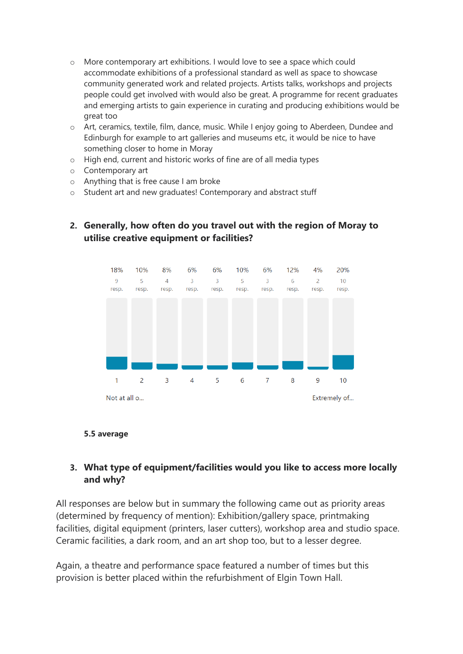- o More contemporary art exhibitions. I would love to see a space which could accommodate exhibitions of a professional standard as well as space to showcase community generated work and related projects. Artists talks, workshops and projects people could get involved with would also be great. A programme for recent graduates and emerging artists to gain experience in curating and producing exhibitions would be great too
- o Art, ceramics, textile, film, dance, music. While I enjoy going to Aberdeen, Dundee and Edinburgh for example to art galleries and museums etc, it would be nice to have something closer to home in Moray
- o High end, current and historic works of fine are of all media types
- o Contemporary art
- o Anything that is free cause I am broke
- o Student art and new graduates! Contemporary and abstract stuff



## **2. Generally, how often do you travel out with the region of Moray to utilise creative equipment or facilities?**

#### **5.5 average**

## **3. What type of equipment/facilities would you like to access more locally and why?**

All responses are below but in summary the following came out as priority areas (determined by frequency of mention): Exhibition/gallery space, printmaking facilities, digital equipment (printers, laser cutters), workshop area and studio space. Ceramic facilities, a dark room, and an art shop too, but to a lesser degree.

Again, a theatre and performance space featured a number of times but this provision is better placed within the refurbishment of Elgin Town Hall.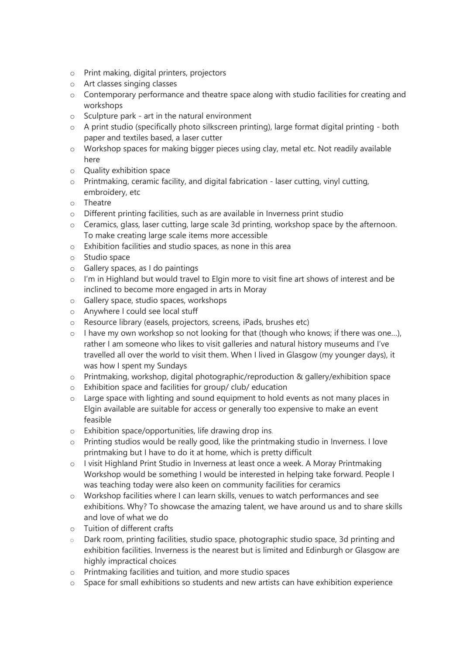- o Print making, digital printers, projectors
- o Art classes singing classes
- o Contemporary performance and theatre space along with studio facilities for creating and workshops
- $\circ$  Sculpture park art in the natural environment
- o A print studio (specifically photo silkscreen printing), large format digital printing both paper and textiles based, a laser cutter
- o Workshop spaces for making bigger pieces using clay, metal etc. Not readily available here
- o Quality exhibition space
- $\circ$  Printmaking, ceramic facility, and digital fabrication laser cutting, vinyl cutting, embroidery, etc
- o Theatre
- o Different printing facilities, such as are available in Inverness print studio
- o Ceramics, glass, laser cutting, large scale 3d printing, workshop space by the afternoon. To make creating large scale items more accessible
- o Exhibition facilities and studio spaces, as none in this area
- o Studio space
- o Gallery spaces, as I do paintings
- $\circ$  I'm in Highland but would travel to Elgin more to visit fine art shows of interest and be inclined to become more engaged in arts in Moray
- o Gallery space, studio spaces, workshops
- o Anywhere I could see local stuff
- o Resource library (easels, projectors, screens, iPads, brushes etc)
- o I have my own workshop so not looking for that (though who knows; if there was one…), rather I am someone who likes to visit galleries and natural history museums and I've travelled all over the world to visit them. When I lived in Glasgow (my younger days), it was how I spent my Sundays
- o Printmaking, workshop, digital photographic/reproduction & gallery/exhibition space
- o Exhibition space and facilities for group/ club/ education
- $\circ$  Large space with lighting and sound equipment to hold events as not many places in Elgin available are suitable for access or generally too expensive to make an event feasible
- o Exhibition space/opportunities, life drawing drop ins.
- o Printing studios would be really good, like the printmaking studio in Inverness. I love printmaking but I have to do it at home, which is pretty difficult
- o I visit Highland Print Studio in Inverness at least once a week. A Moray Printmaking Workshop would be something I would be interested in helping take forward. People I was teaching today were also keen on community facilities for ceramics
- o Workshop facilities where I can learn skills, venues to watch performances and see exhibitions. Why? To showcase the amazing talent, we have around us and to share skills and love of what we do
- o Tuition of different crafts
- o Dark room, printing facilities, studio space, photographic studio space, 3d printing and exhibition facilities. Inverness is the nearest but is limited and Edinburgh or Glasgow are highly impractical choices
- o Printmaking facilities and tuition, and more studio spaces
- o Space for small exhibitions so students and new artists can have exhibition experience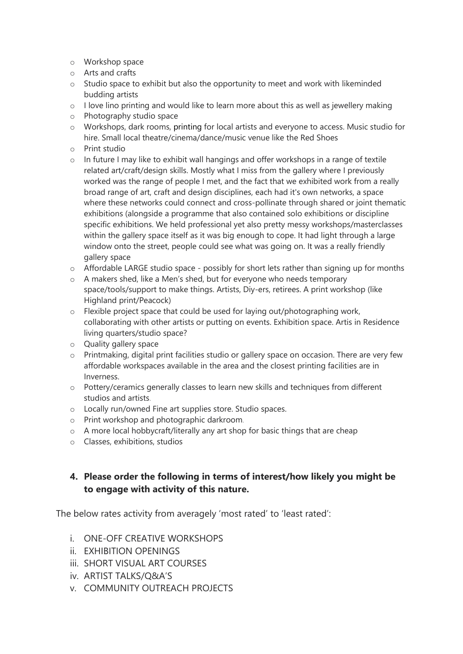- o Workshop space
- o Arts and crafts
- $\circ$  Studio space to exhibit but also the opportunity to meet and work with likeminded budding artists
- o I love lino printing and would like to learn more about this as well as jewellery making
- o Photography studio space
- o Workshops, dark rooms, printing for local artists and everyone to access. Music studio for hire. Small local theatre/cinema/dance/music venue like the Red Shoes
- o Print studio
- $\circ$  In future I may like to exhibit wall hangings and offer workshops in a range of textile related art/craft/design skills. Mostly what I miss from the gallery where I previously worked was the range of people I met, and the fact that we exhibited work from a really broad range of art, craft and design disciplines, each had it's own networks, a space where these networks could connect and cross-pollinate through shared or joint thematic exhibitions (alongside a programme that also contained solo exhibitions or discipline specific exhibitions. We held professional yet also pretty messy workshops/masterclasses within the gallery space itself as it was big enough to cope. It had light through a large window onto the street, people could see what was going on. It was a really friendly gallery space
- $\circ$  Affordable LARGE studio space possibly for short lets rather than signing up for months
- o A makers shed, like a Men's shed, but for everyone who needs temporary space/tools/support to make things. Artists, Diy-ers, retirees. A print workshop (like Highland print/Peacock)
- o Flexible project space that could be used for laying out/photographing work, collaborating with other artists or putting on events. Exhibition space. Artis in Residence living quarters/studio space?
- o Quality gallery space
- $\circ$  Printmaking, digital print facilities studio or gallery space on occasion. There are very few affordable workspaces available in the area and the closest printing facilities are in Inverness.
- o Pottery/ceramics generally classes to learn new skills and techniques from different studios and artists.
- o Locally run/owned Fine art supplies store. Studio spaces.
- o Print workshop and photographic darkroom.
- o A more local hobbycraft/literally any art shop for basic things that are cheap
- o Classes, exhibitions, studios

## **4. Please order the following in terms of interest/how likely you might be to engage with activity of this nature.**

The below rates activity from averagely 'most rated' to 'least rated':

- i. ONE-OFF CREATIVE WORKSHOPS
- ii. EXHIBITION OPENINGS
- iii. SHORT VISUAL ART COURSES
- iv. ARTIST TALKS/Q&A'S
- v. COMMUNITY OUTREACH PROJECTS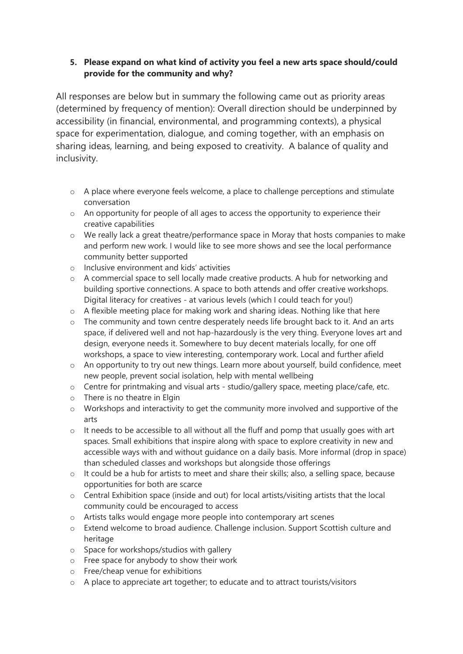#### **5. Please expand on what kind of activity you feel a new arts space should/could provide for the community and why?**

All responses are below but in summary the following came out as priority areas (determined by frequency of mention): Overall direction should be underpinned by accessibility (in financial, environmental, and programming contexts), a physical space for experimentation, dialogue, and coming together, with an emphasis on sharing ideas, learning, and being exposed to creativity. A balance of quality and inclusivity.

- o A place where everyone feels welcome, a place to challenge perceptions and stimulate conversation
- o An opportunity for people of all ages to access the opportunity to experience their creative capabilities
- o We really lack a great theatre/performance space in Moray that hosts companies to make and perform new work. I would like to see more shows and see the local performance community better supported
- o Inclusive environment and kids' activities
- o A commercial space to sell locally made creative products. A hub for networking and building sportive connections. A space to both attends and offer creative workshops. Digital literacy for creatives - at various levels (which I could teach for you!)
- o A flexible meeting place for making work and sharing ideas. Nothing like that here
- o The community and town centre desperately needs life brought back to it. And an arts space, if delivered well and not hap-hazardously is the very thing. Everyone loves art and design, everyone needs it. Somewhere to buy decent materials locally, for one off workshops, a space to view interesting, contemporary work. Local and further afield
- o An opportunity to try out new things. Learn more about yourself, build confidence, meet new people, prevent social isolation, help with mental wellbeing
- o Centre for printmaking and visual arts studio/gallery space, meeting place/cafe, etc.
- o There is no theatre in Elgin
- o Workshops and interactivity to get the community more involved and supportive of the arts
- o It needs to be accessible to all without all the fluff and pomp that usually goes with art spaces. Small exhibitions that inspire along with space to explore creativity in new and accessible ways with and without guidance on a daily basis. More informal (drop in space) than scheduled classes and workshops but alongside those offerings
- o It could be a hub for artists to meet and share their skills; also, a selling space, because opportunities for both are scarce
- o Central Exhibition space (inside and out) for local artists/visiting artists that the local community could be encouraged to access
- o Artists talks would engage more people into contemporary art scenes
- o Extend welcome to broad audience. Challenge inclusion. Support Scottish culture and heritage
- o Space for workshops/studios with gallery
- o Free space for anybody to show their work
- o Free/cheap venue for exhibitions
- o A place to appreciate art together; to educate and to attract tourists/visitors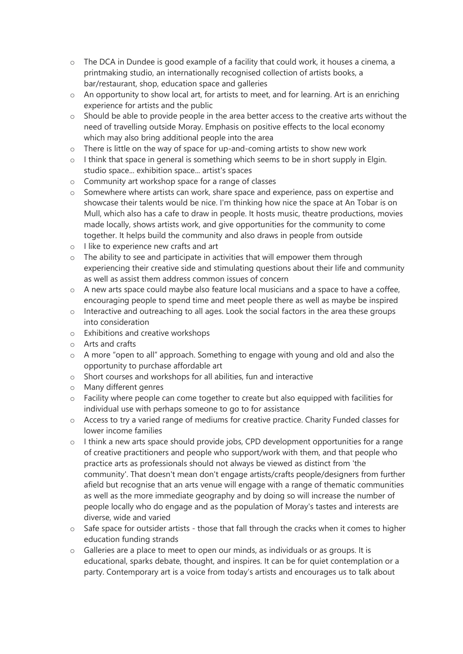- o The DCA in Dundee is good example of a facility that could work, it houses a cinema, a printmaking studio, an internationally recognised collection of artists books, a bar/restaurant, shop, education space and galleries
- o An opportunity to show local art, for artists to meet, and for learning. Art is an enriching experience for artists and the public
- $\circ$  Should be able to provide people in the area better access to the creative arts without the need of travelling outside Moray. Emphasis on positive effects to the local economy which may also bring additional people into the area
- o There is little on the way of space for up-and-coming artists to show new work
- $\circ$  I think that space in general is something which seems to be in short supply in Elgin. studio space... exhibition space... artist's spaces
- o Community art workshop space for a range of classes
- o Somewhere where artists can work, share space and experience, pass on expertise and showcase their talents would be nice. I'm thinking how nice the space at An Tobar is on Mull, which also has a cafe to draw in people. It hosts music, theatre productions, movies made locally, shows artists work, and give opportunities for the community to come together. It helps build the community and also draws in people from outside
- o I like to experience new crafts and art
- $\circ$  The ability to see and participate in activities that will empower them through experiencing their creative side and stimulating questions about their life and community as well as assist them address common issues of concern
- $\circ$  A new arts space could maybe also feature local musicians and a space to have a coffee. encouraging people to spend time and meet people there as well as maybe be inspired
- $\circ$  Interactive and outreaching to all ages. Look the social factors in the area these groups into consideration
- o Exhibitions and creative workshops
- o Arts and crafts
- o A more "open to all" approach. Something to engage with young and old and also the opportunity to purchase affordable art
- o Short courses and workshops for all abilities, fun and interactive
- o Many different genres
- $\circ$  Facility where people can come together to create but also equipped with facilities for individual use with perhaps someone to go to for assistance
- o Access to try a varied range of mediums for creative practice. Charity Funded classes for lower income families
- o I think a new arts space should provide jobs, CPD development opportunities for a range of creative practitioners and people who support/work with them, and that people who practice arts as professionals should not always be viewed as distinct from 'the community'. That doesn't mean don't engage artists/crafts people/designers from further afield but recognise that an arts venue will engage with a range of thematic communities as well as the more immediate geography and by doing so will increase the number of people locally who do engage and as the population of Moray's tastes and interests are diverse, wide and varied
- o Safe space for outsider artists those that fall through the cracks when it comes to higher education funding strands
- o Galleries are a place to meet to open our minds, as individuals or as groups. It is educational, sparks debate, thought, and inspires. It can be for quiet contemplation or a party. Contemporary art is a voice from today's artists and encourages us to talk about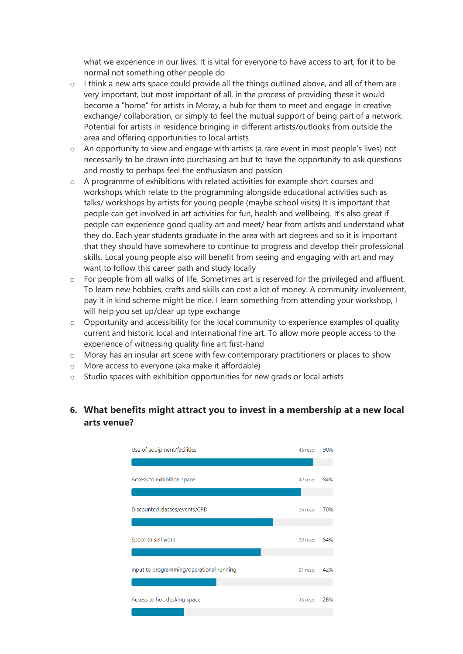what we experience in our lives. It is vital for everyone to have access to art, for it to be normal not something other people do

- $\circ$  I think a new arts space could provide all the things outlined above, and all of them are very important, but most important of all, in the process of providing these it would become a "home" for artists in Moray, a hub for them to meet and engage in creative exchange/ collaboration, or simply to feel the mutual support of being part of a network. Potential for artists in residence bringing in different artists/outlooks from outside the area and offering opportunities to local artists
- o An opportunity to view and engage with artists (a rare event in most people's lives) not necessarily to be drawn into purchasing art but to have the opportunity to ask questions and mostly to perhaps feel the enthusiasm and passion
- $\circ$  A programme of exhibitions with related activities for example short courses and workshops which relate to the programming alongside educational activities such as talks/ workshops by artists for young people (maybe school visits) It is important that people can get involved in art activities for fun, health and wellbeing. It's also great if people can experience good quality art and meet/ hear from artists and understand what they do. Each year students graduate in the area with art degrees and so it is important that they should have somewhere to continue to progress and develop their professional skills. Local young people also will benefit from seeing and engaging with art and may want to follow this career path and study locally
- $\circ$  For people from all walks of life. Sometimes art is reserved for the privileged and affluent. To learn new hobbies, crafts and skills can cost a lot of money. A community involvement, pay it in kind scheme might be nice. I learn something from attending your workshop, I will help you set up/clear up type exchange
- $\circ$  Opportunity and accessibility for the local community to experience examples of quality current and historic local and international fine art. To allow more people access to the experience of witnessing quality fine art first-hand
- $\circ$  Moray has an insular art scene with few contemporary practitioners or places to show
- o More access to everyone (aka make it affordable)
- o Studio spaces with exhibition opportunities for new grads or local artists

## **6. What benefits might attract you to invest in a membership at a new local arts venue?**

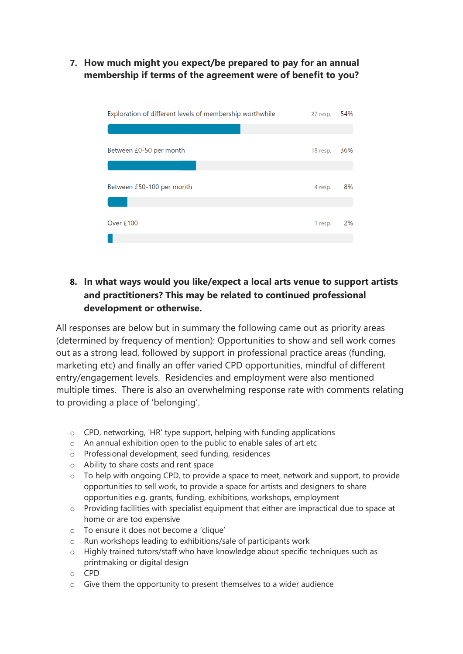**7. How much might you expect/be prepared to pay for an annual membership if terms of the agreement were of benefit to you?**

| Exploration of different levels of membership worthwhile | 27 resp. | 54% |
|----------------------------------------------------------|----------|-----|
|                                                          |          |     |
| Between £0-50 per month                                  | 18 resp. | 36% |
|                                                          |          |     |
| Between £50-100 per month                                | 4 resp.  | 8%  |
|                                                          |          |     |
| Over £100                                                | 1 resp.  | 2%  |
|                                                          |          |     |

# **8. In what ways would you like/expect a local arts venue to support artists and practitioners? This may be related to continued professional development or otherwise.**

All responses are below but in summary the following came out as priority areas (determined by frequency of mention): Opportunities to show and sell work comes out as a strong lead, followed by support in professional practice areas (funding, marketing etc) and finally an offer varied CPD opportunities, mindful of different entry/engagement levels. Residencies and employment were also mentioned multiple times. There is also an overwhelming response rate with comments relating to providing a place of 'belonging'.

- o CPD, networking, 'HR' type support, helping with funding applications
- o An annual exhibition open to the public to enable sales of art etc
- o Professional development, seed funding, residences
- o Ability to share costs and rent space
- o To help with ongoing CPD, to provide a space to meet, network and support, to provide opportunities to sell work, to provide a space for artists and designers to share opportunities e.g. grants, funding, exhibitions, workshops, employment
- o Providing facilities with specialist equipment that either are impractical due to space at home or are too expensive
- o To ensure it does not become a 'clique'
- o Run workshops leading to exhibitions/sale of participants work
- o Highly trained tutors/staff who have knowledge about specific techniques such as printmaking or digital design
- o CPD
- $\circ$  Give them the opportunity to present themselves to a wider audience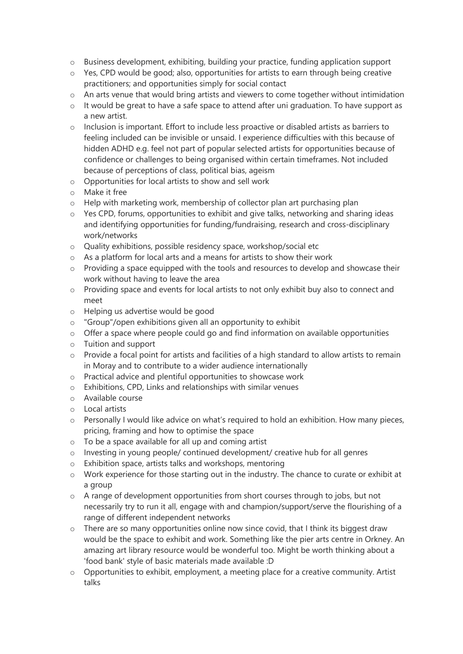- o Business development, exhibiting, building your practice, funding application support
- o Yes, CPD would be good; also, opportunities for artists to earn through being creative practitioners; and opportunities simply for social contact
- $\circ$  An arts venue that would bring artists and viewers to come together without intimidation
- $\circ$  It would be great to have a safe space to attend after uni graduation. To have support as a new artist.
- $\circ$  Inclusion is important. Effort to include less proactive or disabled artists as barriers to feeling included can be invisible or unsaid. I experience difficulties with this because of hidden ADHD e.g. feel not part of popular selected artists for opportunities because of confidence or challenges to being organised within certain timeframes. Not included because of perceptions of class, political bias, ageism
- o Opportunities for local artists to show and sell work
- o Make it free
- o Help with marketing work, membership of collector plan art purchasing plan
- $\circ$  Yes CPD, forums, opportunities to exhibit and give talks, networking and sharing ideas and identifying opportunities for funding/fundraising, research and cross-disciplinary work/networks
- o Quality exhibitions, possible residency space, workshop/social etc
- o As a platform for local arts and a means for artists to show their work
- $\circ$  Providing a space equipped with the tools and resources to develop and showcase their work without having to leave the area
- o Providing space and events for local artists to not only exhibit buy also to connect and meet
- o Helping us advertise would be good
- o "Group"/open exhibitions given all an opportunity to exhibit
- $\circ$  Offer a space where people could go and find information on available opportunities
- o Tuition and support
- $\circ$  Provide a focal point for artists and facilities of a high standard to allow artists to remain in Moray and to contribute to a wider audience internationally
- o Practical advice and plentiful opportunities to showcase work
- o Exhibitions, CPD, Links and relationships with similar venues
- o Available course
- o Local artists
- o Personally I would like advice on what's required to hold an exhibition. How many pieces, pricing, framing and how to optimise the space
- o To be a space available for all up and coming artist
- o Investing in young people/ continued development/ creative hub for all genres
- o Exhibition space, artists talks and workshops, mentoring
- o Work experience for those starting out in the industry. The chance to curate or exhibit at a group
- $\circ$  A range of development opportunities from short courses through to jobs, but not necessarily try to run it all, engage with and champion/support/serve the flourishing of a range of different independent networks
- o There are so many opportunities online now since covid, that I think its biggest draw would be the space to exhibit and work. Something like the pier arts centre in Orkney. An amazing art library resource would be wonderful too. Might be worth thinking about a 'food bank' style of basic materials made available :D
- $\circ$  Opportunities to exhibit, employment, a meeting place for a creative community. Artist talks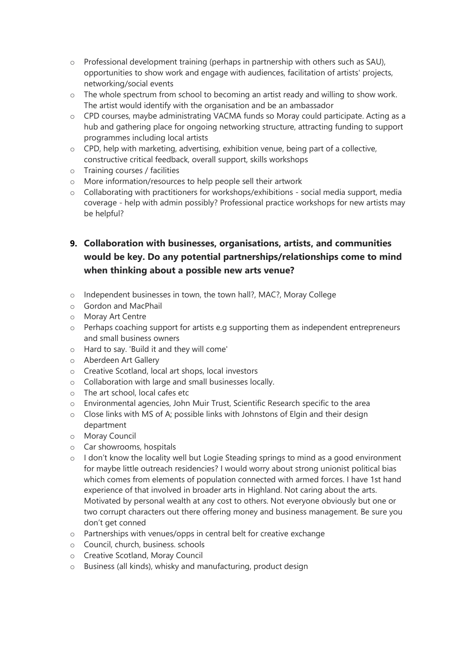- o Professional development training (perhaps in partnership with others such as SAU), opportunities to show work and engage with audiences, facilitation of artists' projects, networking/social events
- o The whole spectrum from school to becoming an artist ready and willing to show work. The artist would identify with the organisation and be an ambassador
- o CPD courses, maybe administrating VACMA funds so Moray could participate. Acting as a hub and gathering place for ongoing networking structure, attracting funding to support programmes including local artists
- o CPD, help with marketing, advertising, exhibition venue, being part of a collective, constructive critical feedback, overall support, skills workshops
- o Training courses / facilities
- o More information/resources to help people sell their artwork
- o Collaborating with practitioners for workshops/exhibitions social media support, media coverage - help with admin possibly? Professional practice workshops for new artists may be helpful?
- **9. Collaboration with businesses, organisations, artists, and communities would be key. Do any potential partnerships/relationships come to mind when thinking about a possible new arts venue?**
- o Independent businesses in town, the town hall?, MAC?, Moray College
- o Gordon and MacPhail
- o Moray Art Centre
- o Perhaps coaching support for artists e.g supporting them as independent entrepreneurs and small business owners
- o Hard to say. 'Build it and they will come'
- o Aberdeen Art Gallery
- o Creative Scotland, local art shops, local investors
- o Collaboration with large and small businesses locally.
- o The art school, local cafes etc
- o Environmental agencies, John Muir Trust, Scientific Research specific to the area
- o Close links with MS of A; possible links with Johnstons of Elgin and their design department
- o Moray Council
- o Car showrooms, hospitals
- $\circ$  I don't know the locality well but Logie Steading springs to mind as a good environment for maybe little outreach residencies? I would worry about strong unionist political bias which comes from elements of population connected with armed forces. I have 1st hand experience of that involved in broader arts in Highland. Not caring about the arts. Motivated by personal wealth at any cost to others. Not everyone obviously but one or two corrupt characters out there offering money and business management. Be sure you don't get conned
- o Partnerships with venues/opps in central belt for creative exchange
- o Council, church, business. schools
- o Creative Scotland, Moray Council
- o Business (all kinds), whisky and manufacturing, product design